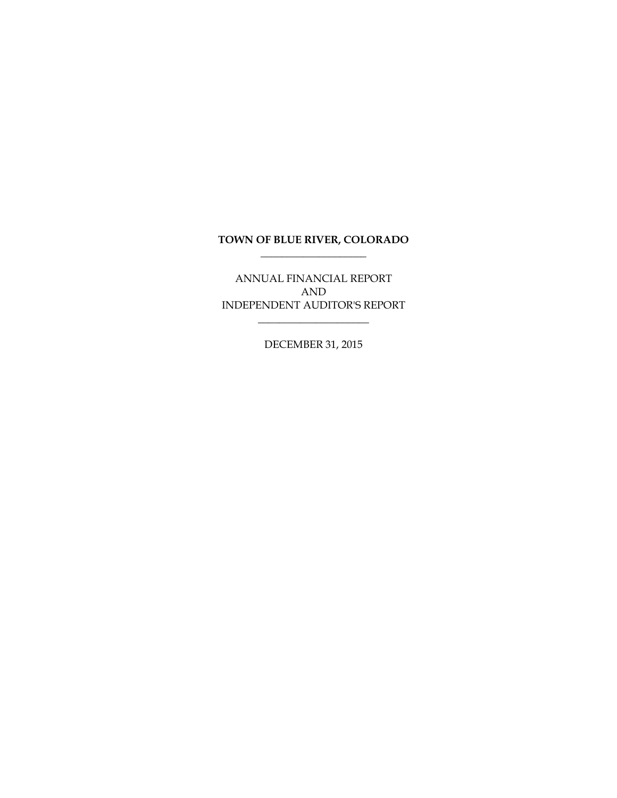# **TOWN OF BLUE RIVER, COLORADO \_\_\_\_\_\_\_\_\_\_\_\_\_\_\_\_\_\_\_\_**

ANNUAL FINANCIAL REPORT AND INDEPENDENT AUDITOR'S REPORT

\_\_\_\_\_\_\_\_\_\_\_\_\_\_\_\_\_\_\_\_\_

DECEMBER 31, 2015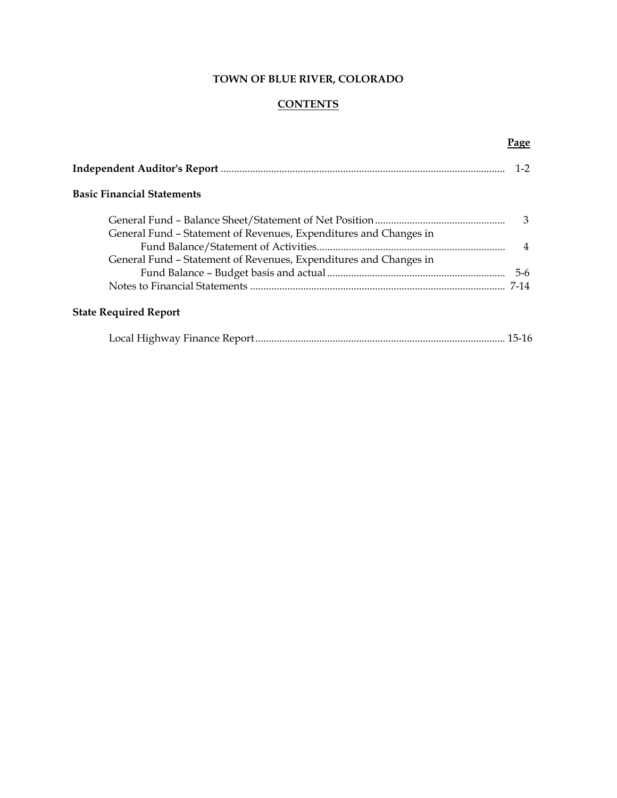# **TOWN OF BLUE RIVER, COLORADO**

## **CONTENTS**

# **Page**

|                                                                   | $1 - 2$                 |
|-------------------------------------------------------------------|-------------------------|
| <b>Basic Financial Statements</b>                                 |                         |
|                                                                   | $\overline{\mathbf{3}}$ |
| General Fund - Statement of Revenues, Expenditures and Changes in |                         |
|                                                                   | $\overline{4}$          |
| General Fund - Statement of Revenues, Expenditures and Changes in |                         |
|                                                                   |                         |
|                                                                   |                         |
| <b>State Required Report</b>                                      |                         |
|                                                                   |                         |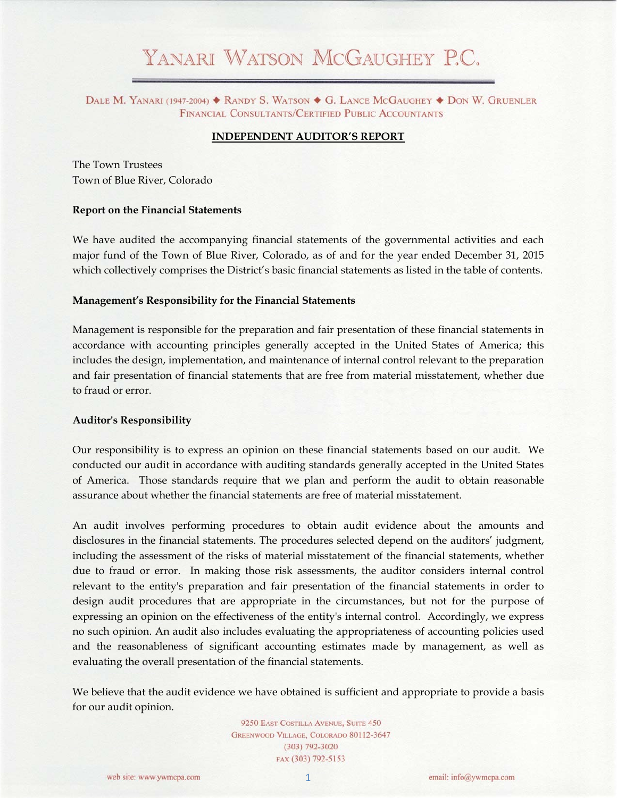# YANARI WATSON MCGAUGHEY P.C.

DALE M. YANARI (1947-2004) ♦ RANDY S. WATSON ♦ G. LANCE MCGAUGHEY ♦ DON W. GRUENLER **FINANCIAL CONSULTANTS/CERTIFIED PUBLIC ACCOUNTANTS** 

## **INDEPENDENT AUDITOR'S REPORT**

The Town Trustees Town of Blue River, Colorado

#### **Report on the Financial Statements**

We have audited the accompanying financial statements of the governmental activities and each major fund of the Town of Blue River, Colorado, as of and for the year ended December 31, 2015 which collectively comprises the District's basic financial statements as listed in the table of contents.

#### **Management's Responsibility for the Financial Statements**

Management is responsible for the preparation and fair presentation of these financial statements in accordance with accounting principles generally accepted in the United States of America; this includes the design, implementation, and maintenance of internal control relevant to the preparation and fair presentation of financial statements that are free from material misstatement, whether due to fraud or error.

#### **Auditor's Responsibility**

Our responsibility is to express an opinion on these financial statements based on our audit. We conducted our audit in accordance with auditing standards generally accepted in the United States of America. Those standards require that we plan and perform the audit to obtain reasonable assurance about whether the financial statements are free of material misstatement.

An audit involves performing procedures to obtain audit evidence about the amounts and disclosures in the financial statements. The procedures selected depend on the auditors' judgment, including the assessment of the risks of material misstatement of the financial statements, whether due to fraud or error. In making those risk assessments, the auditor considers internal control relevant to the entity's preparation and fair presentation of the financial statements in order to design audit procedures that are appropriate in the circumstances, but not for the purpose of expressing an opinion on the effectiveness of the entity's internal control. Accordingly, we express no such opinion. An audit also includes evaluating the appropriateness of accounting policies used and the reasonableness of significant accounting estimates made by management, as well as evaluating the overall presentation of the financial statements.

We believe that the audit evidence we have obtained is sufficient and appropriate to provide a basis for our audit opinion.

> 9250 EAST COSTILLA AVENUE, SUITE 450 **GREENWOOD VILLAGE, COLORADO 80112-3647**  $(303) 792 - 3020$ FAX (303) 792-5153

1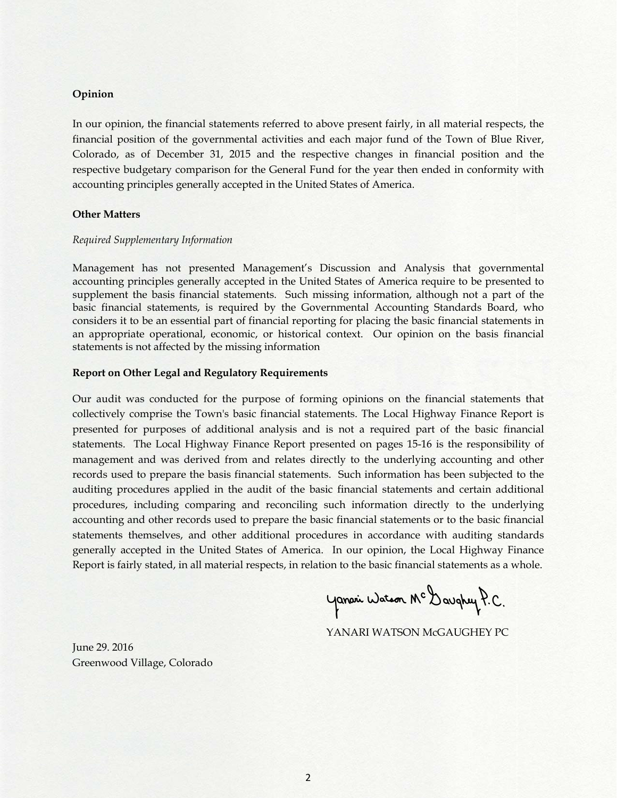#### **Opinion**

In our opinion, the financial statements referred to above present fairly, in all material respects, the financial position of the governmental activities and each major fund of the Town of Blue River, Colorado, as of December 31, 2015 and the respective changes in financial position and the respective budgetary comparison for the General Fund for the year then ended in conformity with accounting principles generally accepted in the United States of America.

#### **Other Matters**

#### *Required Supplementary Information*

Management has not presented Management's Discussion and Analysis that governmental accounting principles generally accepted in the United States of America require to be presented to supplement the basis financial statements. Such missing information, although not a part of the basic financial statements, is required by the Governmental Accounting Standards Board, who considers it to be an essential part of financial reporting for placing the basic financial statements in an appropriate operational, economic, or historical context. Our opinion on the basis financial statements is not affected by the missing information

#### **Report on Other Legal and Regulatory Requirements**

Our audit was conducted for the purpose of forming opinions on the financial statements that collectively comprise the Town's basic financial statements. The Local Highway Finance Report is presented for purposes of additional analysis and is not a required part of the basic financial statements. The Local Highway Finance Report presented on pages 15-16 is the responsibility of management and was derived from and relates directly to the underlying accounting and other records used to prepare the basis financial statements. Such information has been subjected to the auditing procedures applied in the audit of the basic financial statements and certain additional procedures, including comparing and reconciling such information directly to the underlying accounting and other records used to prepare the basic financial statements or to the basic financial statements themselves, and other additional procedures in accordance with auditing standards generally accepted in the United States of America. In our opinion, the Local Highway Finance Report is fairly stated, in all material respects, in relation to the basic financial statements as a whole.

Yanari Watson Mc Daughey P.C.

YANARI WATSON McGAUGHEY PC

June 29. 2016 Greenwood Village, Colorado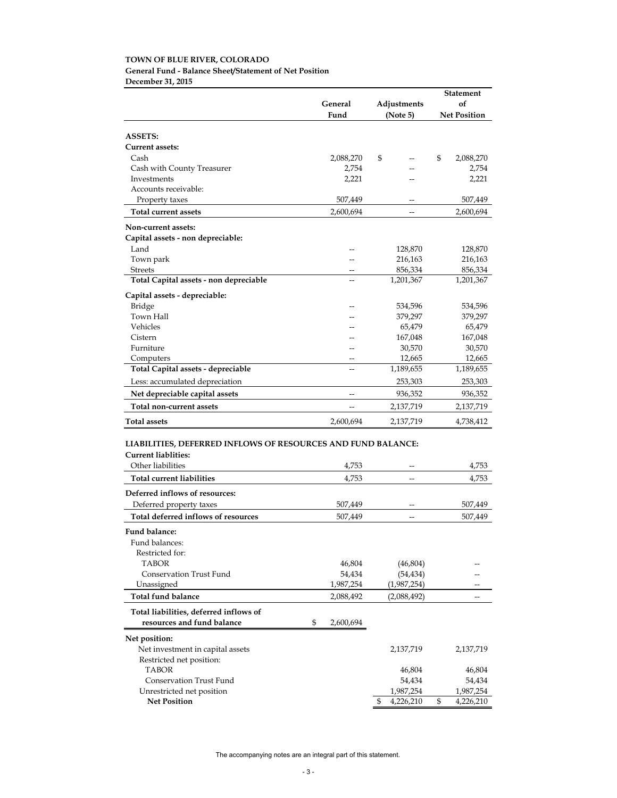#### **TOWN OF BLUE RIVER, COLORADO General Fund - Balance Sheet/Statement of Net Position December 31, 2015**

|                                                              |                  |                          |    | <b>Statement</b>    |  |
|--------------------------------------------------------------|------------------|--------------------------|----|---------------------|--|
|                                                              | General          | Adjustments              | of |                     |  |
|                                                              | Fund             | (Note 5)                 |    | <b>Net Position</b> |  |
|                                                              |                  |                          |    |                     |  |
| <b>ASSETS:</b>                                               |                  |                          |    |                     |  |
| Current assets:                                              |                  |                          |    |                     |  |
| Cash                                                         | 2,088,270        | \$                       | \$ | 2,088,270           |  |
| Cash with County Treasurer                                   | 2,754            |                          |    | 2,754               |  |
| Investments                                                  | 2,221            |                          |    | 2,221               |  |
| Accounts receivable:                                         |                  |                          |    |                     |  |
| Property taxes                                               | 507,449          | --                       |    | 507,449             |  |
| Total current assets                                         | 2,600,694        | --                       |    | 2,600,694           |  |
| Non-current assets:                                          |                  |                          |    |                     |  |
| Capital assets - non depreciable:                            |                  |                          |    |                     |  |
| Land                                                         |                  | 128,870                  |    | 128,870             |  |
| Town park                                                    |                  | 216,163                  |    | 216,163             |  |
| <b>Streets</b>                                               | --               | 856,334                  |    | 856,334             |  |
| Total Capital assets - non depreciable                       |                  | 1,201,367                |    | 1,201,367           |  |
| Capital assets - depreciable:                                |                  |                          |    |                     |  |
| Bridge                                                       |                  | 534,596                  |    | 534,596             |  |
| Town Hall                                                    |                  | 379,297                  |    | 379,297             |  |
| Vehicles                                                     |                  | 65,479                   |    | 65,479              |  |
| Cistern                                                      |                  | 167,048                  |    | 167,048             |  |
| Furniture                                                    |                  | 30,570                   |    | 30,570              |  |
| Computers                                                    |                  | 12,665                   |    | 12,665              |  |
| Total Capital assets - depreciable                           |                  | 1,189,655                |    | 1,189,655           |  |
|                                                              |                  | 253,303                  |    | 253,303             |  |
| Less: accumulated depreciation                               |                  |                          |    |                     |  |
| Net depreciable capital assets                               | --               | 936,352                  |    | 936,352             |  |
| Total non-current assets                                     |                  | 2,137,719                |    | 2,137,719           |  |
| <b>Total assets</b>                                          | 2,600,694        | 2,137,719                |    | 4,738,412           |  |
|                                                              |                  |                          |    |                     |  |
| LIABILITIES, DEFERRED INFLOWS OF RESOURCES AND FUND BALANCE: |                  |                          |    |                     |  |
| <b>Current liablities:</b>                                   |                  |                          |    |                     |  |
| Other liabilities                                            | 4,753            | --                       |    | 4,753               |  |
| Total current liabilities                                    | 4,753            | --                       |    | 4,753               |  |
| Deferred inflows of resources:                               |                  |                          |    |                     |  |
| Deferred property taxes                                      | 507,449          |                          |    | 507,449             |  |
| Total deferred inflows of resources                          | 507,449          |                          |    | 507,449             |  |
| Fund balance:                                                |                  |                          |    |                     |  |
|                                                              |                  |                          |    |                     |  |
| Fund balances:                                               |                  |                          |    |                     |  |
| Restricted for:<br><b>TABOR</b>                              |                  |                          |    |                     |  |
| Conservation Trust Fund                                      | 46,804<br>54,434 | (46, 804)                |    |                     |  |
| Unassigned                                                   | 1,987,254        | (54, 434)<br>(1,987,254) |    |                     |  |
|                                                              |                  |                          |    |                     |  |
| <b>Total fund balance</b>                                    | 2,088,492        | (2,088,492)              |    |                     |  |
| Total liabilities, deferred inflows of                       |                  |                          |    |                     |  |
| resources and fund balance                                   | \$<br>2,600,694  |                          |    |                     |  |
| Net position:                                                |                  |                          |    |                     |  |
| Net investment in capital assets                             |                  | 2,137,719                |    | 2,137,719           |  |
| Restricted net position:                                     |                  |                          |    |                     |  |
| TABOR                                                        |                  | 46,804                   |    | 46,804              |  |
| Conservation Trust Fund                                      |                  | 54,434                   |    | 54,434              |  |
| Unrestricted net position                                    |                  | 1,987,254                |    | 1,987,254           |  |
| <b>Net Position</b>                                          |                  | \$<br>4,226,210          | \$ | 4,226,210           |  |

The accompanying notes are an integral part of this statement.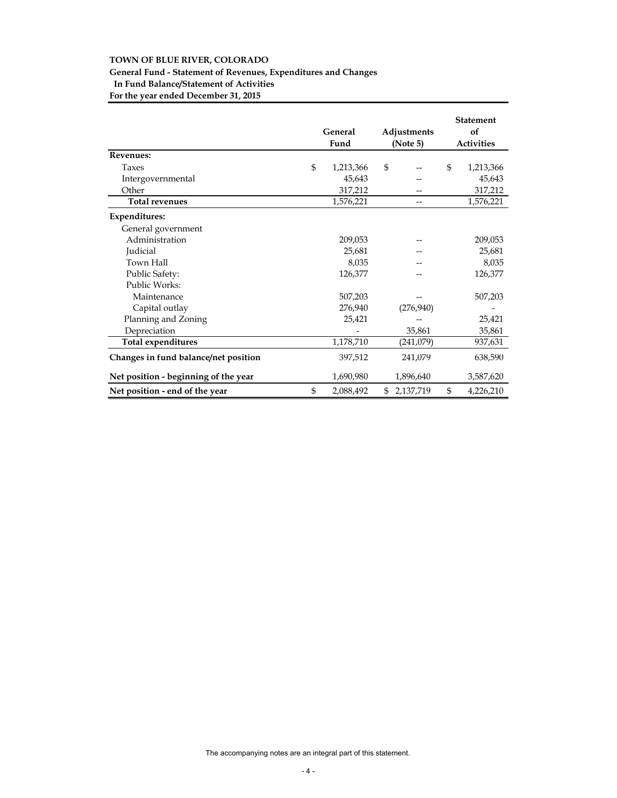#### **TOWN OF BLUE RIVER, COLORADO**

#### **General Fund - Statement of Revenues, Expenditures and Changes**

 **In Fund Balance/Statement of Activities**

**For the year ended December 31, 2015**

|                                      | General<br>Fund | Adjustments<br>(Note 5) | <b>Statement</b><br>of<br><b>Activities</b> |
|--------------------------------------|-----------------|-------------------------|---------------------------------------------|
| <b>Revenues:</b>                     |                 |                         |                                             |
| Taxes                                | \$<br>1,213,366 | \$                      | \$<br>1,213,366                             |
| Intergovernmental                    | 45,643          |                         | 45,643                                      |
| Other                                | 317,212         |                         | 317,212                                     |
| <b>Total revenues</b>                | 1,576,221       | $-$                     | 1,576,221                                   |
| Expenditures:                        |                 |                         |                                             |
| General government                   |                 |                         |                                             |
| Administration                       | 209,053         |                         | 209,053                                     |
| Judicial                             | 25,681          |                         | 25,681                                      |
| Town Hall                            | 8,035           |                         | 8,035                                       |
| Public Safety:                       | 126,377         |                         | 126,377                                     |
| Public Works:                        |                 |                         |                                             |
| Maintenance                          | 507,203         |                         | 507,203                                     |
| Capital outlay                       | 276,940         | (276,940)               |                                             |
| Planning and Zoning                  | 25,421          |                         | 25,421                                      |
| Depreciation                         |                 | 35,861                  | 35,861                                      |
| <b>Total expenditures</b>            | 1,178,710       | (241,079)               | 937,631                                     |
| Changes in fund balance/net position | 397,512         | 241,079                 | 638,590                                     |
| Net position - beginning of the year | 1,690,980       | 1,896,640               | 3,587,620                                   |
| Net position - end of the year       | \$<br>2,088,492 | \$<br>2,137,719         | \$<br>4,226,210                             |

The accompanying notes are an integral part of this statement.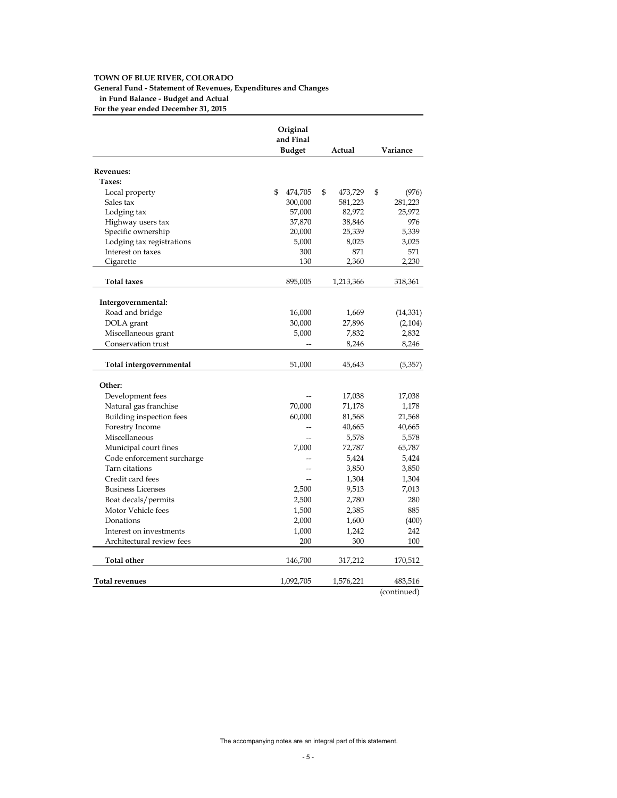#### **TOWN OF BLUE RIVER, COLORADO**

**General Fund - Statement of Revenues, Expenditures and Changes**

**in Fund Balance - Budget and Actual For the year ended December 31, 2015**

|                            | Original<br>and Final<br><b>Budget</b> | Actual        | Variance    |
|----------------------------|----------------------------------------|---------------|-------------|
| <b>Revenues:</b>           |                                        |               |             |
| Taxes:                     |                                        |               |             |
| Local property             | \$<br>474,705                          | \$<br>473,729 | (976)<br>\$ |
| Sales tax                  | 300,000                                | 581,223       | 281,223     |
| Lodging tax                | 57,000                                 | 82,972        | 25,972      |
| Highway users tax          | 37,870                                 | 38,846        | 976         |
| Specific ownership         | 20,000                                 | 25,339        | 5,339       |
| Lodging tax registrations  | 5,000                                  | 8,025         | 3,025       |
| Interest on taxes          | 300                                    | 871           | 571         |
| Cigarette                  | 130                                    | 2,360         | 2,230       |
| <b>Total taxes</b>         | 895,005                                | 1,213,366     | 318,361     |
|                            |                                        |               |             |
| Intergovernmental:         |                                        |               |             |
| Road and bridge            | 16,000                                 | 1,669         | (14, 331)   |
| DOLA grant                 | 30,000                                 | 27,896        | (2,104)     |
| Miscellaneous grant        | 5,000                                  | 7,832         | 2,832       |
| Conservation trust         |                                        | 8,246         | 8,246       |
| Total intergovernmental    | 51,000                                 | 45,643        | (5,357)     |
| Other:                     |                                        |               |             |
| Development fees           |                                        | 17,038        | 17,038      |
| Natural gas franchise      | 70,000                                 | 71,178        | 1,178       |
| Building inspection fees   | 60,000                                 | 81,568        | 21,568      |
| Forestry Income            | --                                     | 40,665        | 40,665      |
| Miscellaneous              |                                        | 5,578         | 5,578       |
| Municipal court fines      | 7,000                                  | 72,787        | 65,787      |
| Code enforcement surcharge | --                                     | 5,424         | 5,424       |
| Tarn citations             | $\overline{a}$                         | 3,850         | 3,850       |
| Credit card fees           | $-$                                    | 1,304         | 1,304       |
| <b>Business Licenses</b>   | 2,500                                  | 9,513         | 7,013       |
| Boat decals/permits        | 2,500                                  | 2,780         | 280         |
| Motor Vehicle fees         | 1,500                                  | 2,385         | 885         |
| Donations                  | 2,000                                  | 1,600         | (400)       |
| Interest on investments    | 1,000                                  | 1,242         | 242         |
| Architectural review fees  | 200                                    | 300           | 100         |
|                            |                                        |               |             |
| Total other                | 146,700                                | 317,212       | 170,512     |
| Total revenues             | 1,092,705                              | 1,576,221     | 483,516     |
|                            |                                        |               | (continued) |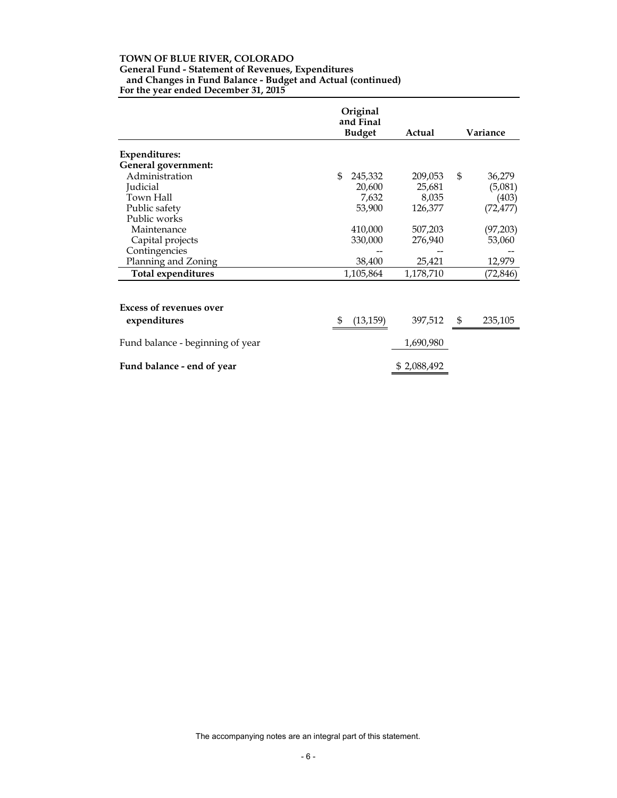#### **TOWN OF BLUE RIVER, COLORADO General Fund - Statement of Revenues, Expenditures and Changes in Fund Balance - Budget and Actual (continued) For the year ended December 31, 2015**

|                                  | Original<br>and Final<br><b>Budget</b> | Actual      | Variance      |
|----------------------------------|----------------------------------------|-------------|---------------|
|                                  |                                        |             |               |
| <b>Expenditures:</b>             |                                        |             |               |
| General government:              |                                        |             |               |
| Administration                   | \$.<br>245,332                         | 209,053     | \$<br>36,279  |
| Judicial                         | 20,600                                 | 25,681      | (5,081)       |
| Town Hall                        | 7,632                                  | 8,035       | (403)         |
| Public safety                    | 53,900                                 | 126,377     | (72, 477)     |
| Public works                     |                                        |             |               |
| Maintenance                      | 410,000                                | 507,203     | (97,203)      |
| Capital projects                 | 330,000                                | 276,940     | 53,060        |
| Contingencies                    |                                        |             |               |
| Planning and Zoning              | 38,400                                 | 25,421      | 12,979        |
| <b>Total expenditures</b>        | 1,105,864                              | 1,178,710   | (72, 846)     |
|                                  |                                        |             |               |
| <b>Excess of revenues over</b>   |                                        |             |               |
| expenditures                     | S<br>(13, 159)                         | 397,512     | \$<br>235,105 |
| Fund balance - beginning of year |                                        | 1,690,980   |               |
| Fund balance - end of year       |                                        | \$2,088,492 |               |

The accompanying notes are an integral part of this statement.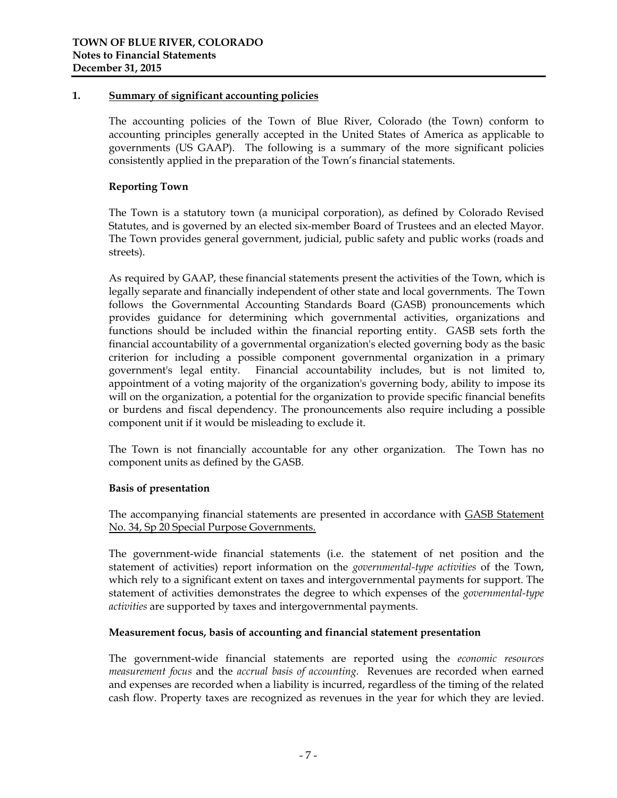## **1. Summary of significant accounting policies**

The accounting policies of the Town of Blue River, Colorado (the Town) conform to accounting principles generally accepted in the United States of America as applicable to governments (US GAAP). The following is a summary of the more significant policies consistently applied in the preparation of the Town's financial statements.

## **Reporting Town**

The Town is a statutory town (a municipal corporation), as defined by Colorado Revised Statutes, and is governed by an elected six-member Board of Trustees and an elected Mayor. The Town provides general government, judicial, public safety and public works (roads and streets).

As required by GAAP, these financial statements present the activities of the Town, which is legally separate and financially independent of other state and local governments. The Town follows the Governmental Accounting Standards Board (GASB) pronouncements which provides guidance for determining which governmental activities, organizations and functions should be included within the financial reporting entity. GASB sets forth the financial accountability of a governmental organization's elected governing body as the basic criterion for including a possible component governmental organization in a primary government's legal entity. Financial accountability includes, but is not limited to, appointment of a voting majority of the organization's governing body, ability to impose its will on the organization, a potential for the organization to provide specific financial benefits or burdens and fiscal dependency. The pronouncements also require including a possible component unit if it would be misleading to exclude it.

The Town is not financially accountable for any other organization. The Town has no component units as defined by the GASB.

#### **Basis of presentation**

The accompanying financial statements are presented in accordance with GASB Statement No. 34, Sp 20 Special Purpose Governments.

The government-wide financial statements (i.e. the statement of net position and the statement of activities) report information on the *governmental-type activities* of the Town, which rely to a significant extent on taxes and intergovernmental payments for support. The statement of activities demonstrates the degree to which expenses of the *governmental-type activities* are supported by taxes and intergovernmental payments.

## **Measurement focus, basis of accounting and financial statement presentation**

The government-wide financial statements are reported using the *economic resources measurement focus* and the *accrual basis of accounting.* Revenues are recorded when earned and expenses are recorded when a liability is incurred, regardless of the timing of the related cash flow. Property taxes are recognized as revenues in the year for which they are levied.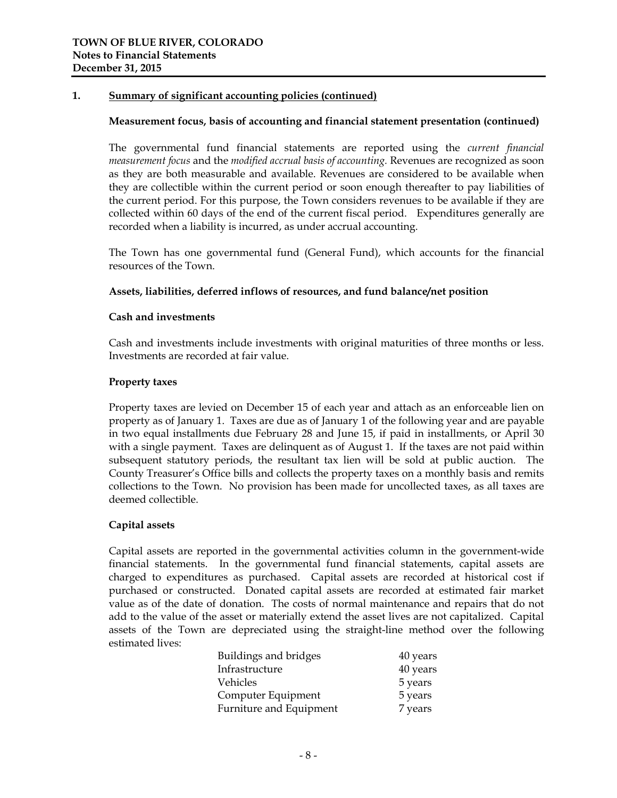## **1. Summary of significant accounting policies (continued)**

#### **Measurement focus, basis of accounting and financial statement presentation (continued)**

The governmental fund financial statements are reported using the *current financial measurement focus* and the *modified accrual basis of accounting.* Revenues are recognized as soon as they are both measurable and available. Revenues are considered to be available when they are collectible within the current period or soon enough thereafter to pay liabilities of the current period. For this purpose, the Town considers revenues to be available if they are collected within 60 days of the end of the current fiscal period. Expenditures generally are recorded when a liability is incurred, as under accrual accounting.

The Town has one governmental fund (General Fund), which accounts for the financial resources of the Town.

## **Assets, liabilities, deferred inflows of resources, and fund balance/net position**

## **Cash and investments**

Cash and investments include investments with original maturities of three months or less. Investments are recorded at fair value.

## **Property taxes**

Property taxes are levied on December 15 of each year and attach as an enforceable lien on property as of January 1. Taxes are due as of January 1 of the following year and are payable in two equal installments due February 28 and June 15, if paid in installments, or April 30 with a single payment. Taxes are delinquent as of August 1. If the taxes are not paid within subsequent statutory periods, the resultant tax lien will be sold at public auction. The County Treasurer's Office bills and collects the property taxes on a monthly basis and remits collections to the Town. No provision has been made for uncollected taxes, as all taxes are deemed collectible.

#### **Capital assets**

Capital assets are reported in the governmental activities column in the government-wide financial statements. In the governmental fund financial statements, capital assets are charged to expenditures as purchased. Capital assets are recorded at historical cost if purchased or constructed. Donated capital assets are recorded at estimated fair market value as of the date of donation. The costs of normal maintenance and repairs that do not add to the value of the asset or materially extend the asset lives are not capitalized. Capital assets of the Town are depreciated using the straight-line method over the following estimated lives:

| Buildings and bridges   | 40 years |
|-------------------------|----------|
| Infrastructure          | 40 years |
| Vehicles                | 5 years  |
| Computer Equipment      | 5 years  |
| Furniture and Equipment | 7 years  |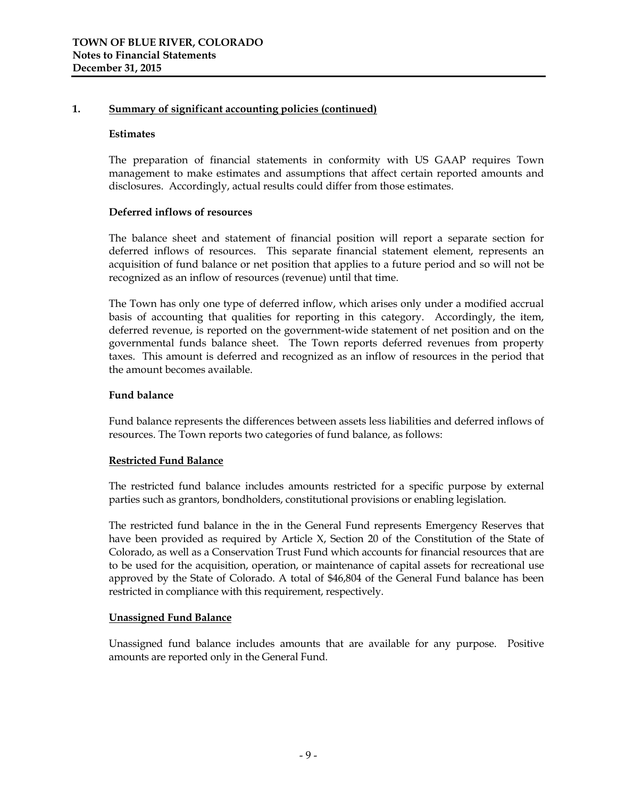## **1. Summary of significant accounting policies (continued)**

## **Estimates**

The preparation of financial statements in conformity with US GAAP requires Town management to make estimates and assumptions that affect certain reported amounts and disclosures. Accordingly, actual results could differ from those estimates.

## **Deferred inflows of resources**

The balance sheet and statement of financial position will report a separate section for deferred inflows of resources. This separate financial statement element, represents an acquisition of fund balance or net position that applies to a future period and so will not be recognized as an inflow of resources (revenue) until that time.

The Town has only one type of deferred inflow, which arises only under a modified accrual basis of accounting that qualities for reporting in this category. Accordingly, the item, deferred revenue, is reported on the government-wide statement of net position and on the governmental funds balance sheet. The Town reports deferred revenues from property taxes. This amount is deferred and recognized as an inflow of resources in the period that the amount becomes available.

## **Fund balance**

Fund balance represents the differences between assets less liabilities and deferred inflows of resources. The Town reports two categories of fund balance, as follows:

## **Restricted Fund Balance**

The restricted fund balance includes amounts restricted for a specific purpose by external parties such as grantors, bondholders, constitutional provisions or enabling legislation.

The restricted fund balance in the in the General Fund represents Emergency Reserves that have been provided as required by Article X, Section 20 of the Constitution of the State of Colorado, as well as a Conservation Trust Fund which accounts for financial resources that are to be used for the acquisition, operation, or maintenance of capital assets for recreational use approved by the State of Colorado. A total of \$46,804 of the General Fund balance has been restricted in compliance with this requirement, respectively.

## **Unassigned Fund Balance**

Unassigned fund balance includes amounts that are available for any purpose. Positive amounts are reported only in the General Fund.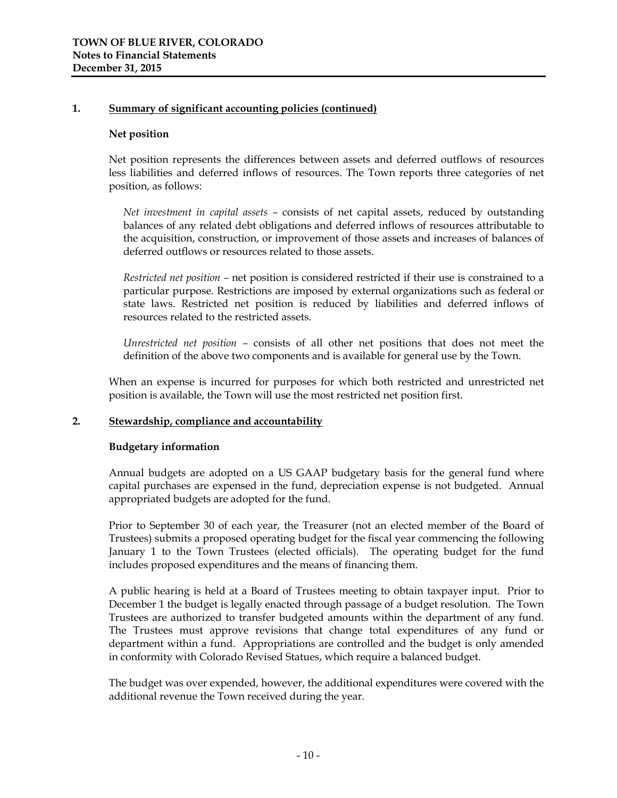## **1. Summary of significant accounting policies (continued)**

#### **Net position**

Net position represents the differences between assets and deferred outflows of resources less liabilities and deferred inflows of resources. The Town reports three categories of net position, as follows:

*Net investment in capital assets –* consists of net capital assets, reduced by outstanding balances of any related debt obligations and deferred inflows of resources attributable to the acquisition, construction, or improvement of those assets and increases of balances of deferred outflows or resources related to those assets.

*Restricted net position –* net position is considered restricted if their use is constrained to a particular purpose. Restrictions are imposed by external organizations such as federal or state laws. Restricted net position is reduced by liabilities and deferred inflows of resources related to the restricted assets.

*Unrestricted net position –* consists of all other net positions that does not meet the definition of the above two components and is available for general use by the Town.

When an expense is incurred for purposes for which both restricted and unrestricted net position is available, the Town will use the most restricted net position first.

## **2. Stewardship, compliance and accountability**

#### **Budgetary information**

Annual budgets are adopted on a US GAAP budgetary basis for the general fund where capital purchases are expensed in the fund, depreciation expense is not budgeted. Annual appropriated budgets are adopted for the fund.

Prior to September 30 of each year, the Treasurer (not an elected member of the Board of Trustees) submits a proposed operating budget for the fiscal year commencing the following January 1 to the Town Trustees (elected officials). The operating budget for the fund includes proposed expenditures and the means of financing them.

A public hearing is held at a Board of Trustees meeting to obtain taxpayer input. Prior to December 1 the budget is legally enacted through passage of a budget resolution. The Town Trustees are authorized to transfer budgeted amounts within the department of any fund. The Trustees must approve revisions that change total expenditures of any fund or department within a fund. Appropriations are controlled and the budget is only amended in conformity with Colorado Revised Statues, which require a balanced budget.

The budget was over expended, however, the additional expenditures were covered with the additional revenue the Town received during the year.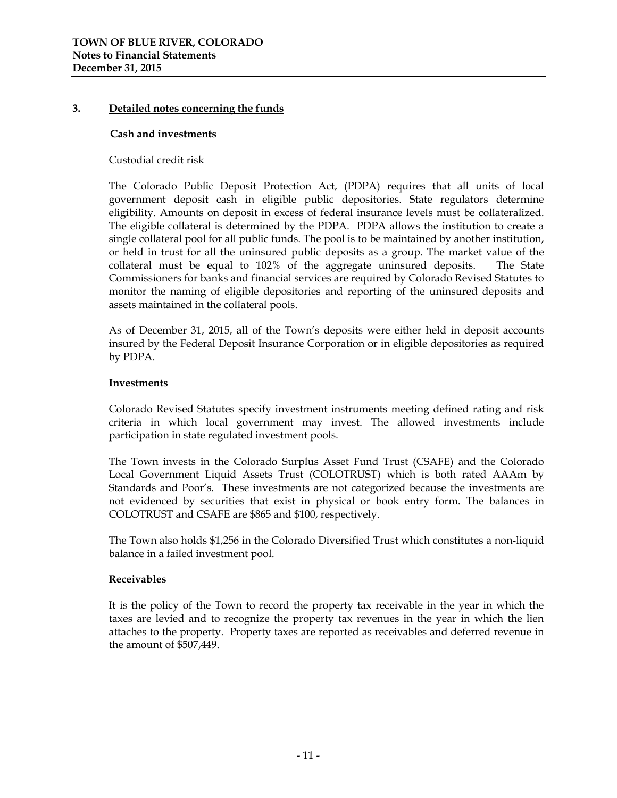## **3. Detailed notes concerning the funds**

#### **Cash and investments**

Custodial credit risk

The Colorado Public Deposit Protection Act, (PDPA) requires that all units of local government deposit cash in eligible public depositories. State regulators determine eligibility. Amounts on deposit in excess of federal insurance levels must be collateralized. The eligible collateral is determined by the PDPA. PDPA allows the institution to create a single collateral pool for all public funds. The pool is to be maintained by another institution, or held in trust for all the uninsured public deposits as a group. The market value of the collateral must be equal to 102% of the aggregate uninsured deposits. The State Commissioners for banks and financial services are required by Colorado Revised Statutes to monitor the naming of eligible depositories and reporting of the uninsured deposits and assets maintained in the collateral pools.

As of December 31, 2015, all of the Town's deposits were either held in deposit accounts insured by the Federal Deposit Insurance Corporation or in eligible depositories as required by PDPA.

## **Investments**

Colorado Revised Statutes specify investment instruments meeting defined rating and risk criteria in which local government may invest. The allowed investments include participation in state regulated investment pools.

The Town invests in the Colorado Surplus Asset Fund Trust (CSAFE) and the Colorado Local Government Liquid Assets Trust (COLOTRUST) which is both rated AAAm by Standards and Poor's. These investments are not categorized because the investments are not evidenced by securities that exist in physical or book entry form. The balances in COLOTRUST and CSAFE are \$865 and \$100, respectively.

The Town also holds \$1,256 in the Colorado Diversified Trust which constitutes a non-liquid balance in a failed investment pool.

## **Receivables**

It is the policy of the Town to record the property tax receivable in the year in which the taxes are levied and to recognize the property tax revenues in the year in which the lien attaches to the property. Property taxes are reported as receivables and deferred revenue in the amount of \$507,449.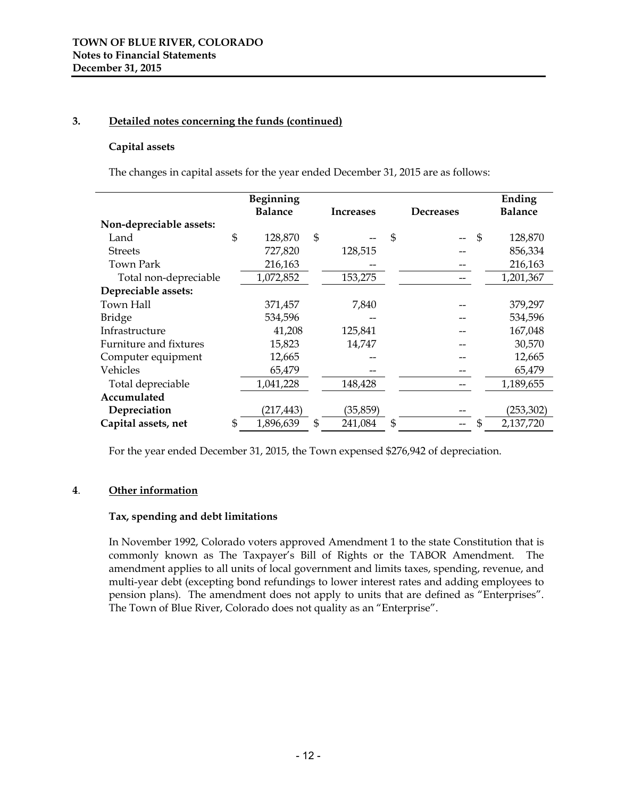## **3. Detailed notes concerning the funds (continued)**

## **Capital assets**

The changes in capital assets for the year ended December 31, 2015 are as follows:

|                         | Beginning       |                |           |                  |    | Ending         |
|-------------------------|-----------------|----------------|-----------|------------------|----|----------------|
|                         | <b>Balance</b>  |                | Increases | <b>Decreases</b> |    | <b>Balance</b> |
| Non-depreciable assets: |                 |                |           |                  |    |                |
| Land                    | \$<br>128,870   | $\mathfrak{S}$ |           | \$               | \$ | 128,870        |
| <b>Streets</b>          | 727,820         |                | 128,515   |                  |    | 856,334        |
| Town Park               | 216,163         |                |           |                  |    | 216,163        |
| Total non-depreciable   | 1,072,852       |                | 153,275   |                  |    | 1,201,367      |
| Depreciable assets:     |                 |                |           |                  |    |                |
| Town Hall               | 371,457         |                | 7,840     |                  |    | 379,297        |
| Bridge                  | 534,596         |                |           |                  |    | 534,596        |
| Infrastructure          | 41,208          |                | 125,841   |                  |    | 167,048        |
| Furniture and fixtures  | 15,823          |                | 14,747    |                  |    | 30,570         |
| Computer equipment      | 12,665          |                |           |                  |    | 12,665         |
| Vehicles                | 65,479          |                |           |                  |    | 65,479         |
| Total depreciable       | 1,041,228       |                | 148,428   |                  |    | 1,189,655      |
| Accumulated             |                 |                |           |                  |    |                |
| Depreciation            | (217, 443)      |                | (35, 859) |                  |    | (253, 302)     |
| Capital assets, net     | \$<br>1,896,639 | \$             | 241,084   | \$               | S  | 2,137,720      |

For the year ended December 31, 2015, the Town expensed \$276,942 of depreciation.

## **4**. **Other information**

## **Tax, spending and debt limitations**

In November 1992, Colorado voters approved Amendment 1 to the state Constitution that is commonly known as The Taxpayer's Bill of Rights or the TABOR Amendment. The amendment applies to all units of local government and limits taxes, spending, revenue, and multi-year debt (excepting bond refundings to lower interest rates and adding employees to pension plans). The amendment does not apply to units that are defined as "Enterprises". The Town of Blue River, Colorado does not quality as an "Enterprise".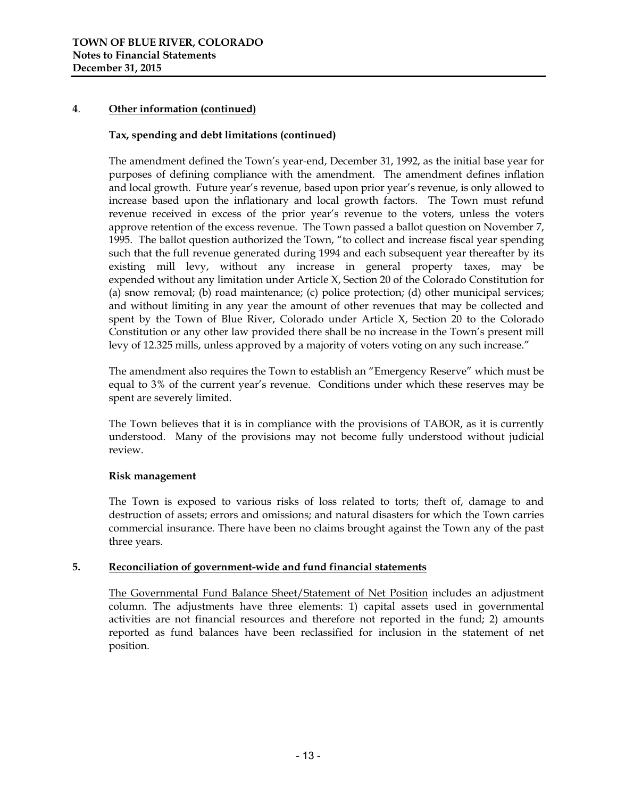## **4**. **Other information (continued)**

## **Tax, spending and debt limitations (continued)**

The amendment defined the Town's year-end, December 31, 1992, as the initial base year for purposes of defining compliance with the amendment. The amendment defines inflation and local growth. Future year's revenue, based upon prior year's revenue, is only allowed to increase based upon the inflationary and local growth factors. The Town must refund revenue received in excess of the prior year's revenue to the voters, unless the voters approve retention of the excess revenue. The Town passed a ballot question on November 7, 1995. The ballot question authorized the Town, "to collect and increase fiscal year spending such that the full revenue generated during 1994 and each subsequent year thereafter by its existing mill levy, without any increase in general property taxes, may be expended without any limitation under Article X, Section 20 of the Colorado Constitution for (a) snow removal; (b) road maintenance; (c) police protection; (d) other municipal services; and without limiting in any year the amount of other revenues that may be collected and spent by the Town of Blue River, Colorado under Article X, Section 20 to the Colorado Constitution or any other law provided there shall be no increase in the Town's present mill levy of 12.325 mills, unless approved by a majority of voters voting on any such increase."

The amendment also requires the Town to establish an "Emergency Reserve" which must be equal to 3% of the current year's revenue. Conditions under which these reserves may be spent are severely limited.

The Town believes that it is in compliance with the provisions of TABOR, as it is currently understood. Many of the provisions may not become fully understood without judicial review.

## **Risk management**

The Town is exposed to various risks of loss related to torts; theft of, damage to and destruction of assets; errors and omissions; and natural disasters for which the Town carries commercial insurance. There have been no claims brought against the Town any of the past three years.

## **5. Reconciliation of government-wide and fund financial statements**

The Governmental Fund Balance Sheet/Statement of Net Position includes an adjustment column. The adjustments have three elements: 1) capital assets used in governmental activities are not financial resources and therefore not reported in the fund; 2) amounts reported as fund balances have been reclassified for inclusion in the statement of net position.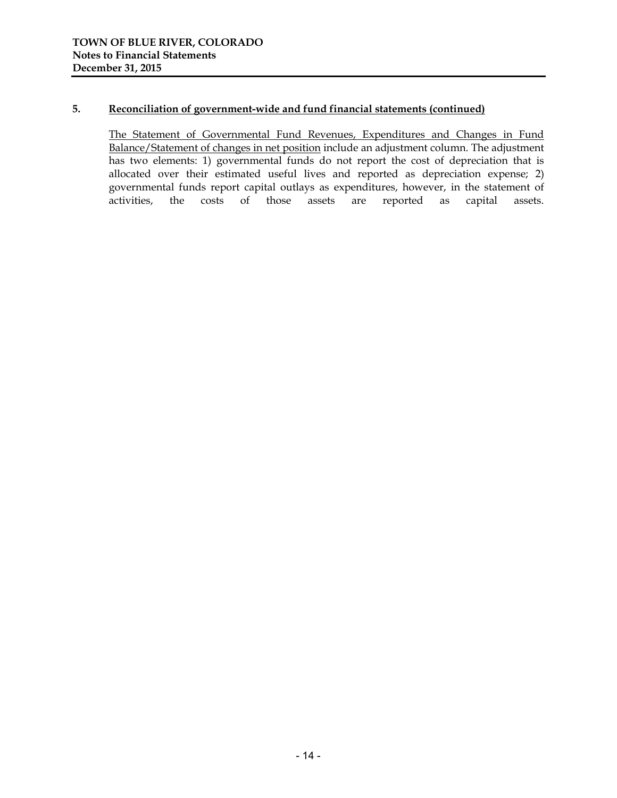## **5. Reconciliation of government-wide and fund financial statements (continued)**

The Statement of Governmental Fund Revenues, Expenditures and Changes in Fund Balance/Statement of changes in net position include an adjustment column. The adjustment has two elements: 1) governmental funds do not report the cost of depreciation that is allocated over their estimated useful lives and reported as depreciation expense; 2) governmental funds report capital outlays as expenditures, however, in the statement of activities, the costs of those assets are reported as capital assets.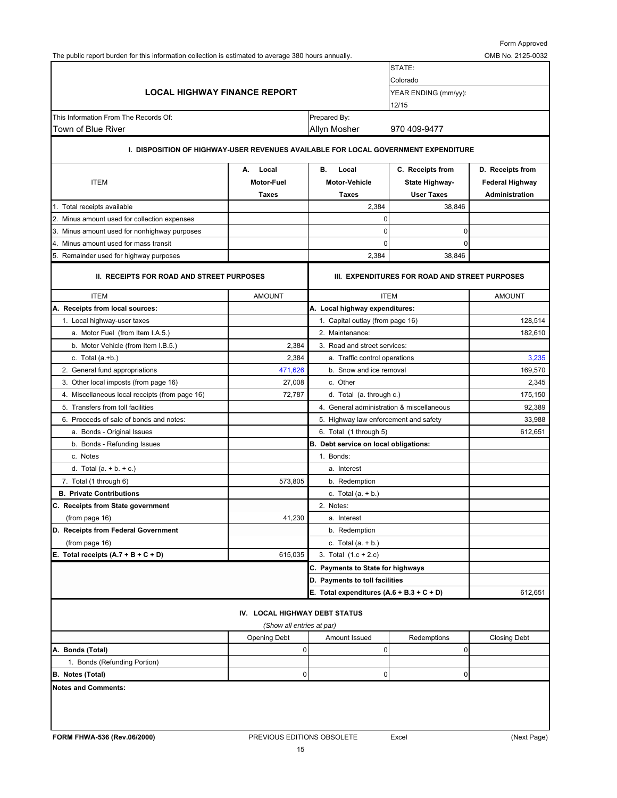The public report burden for this information collection is estimated to average 380 hours annually. COMB No. 2125-0032 STATE: Colorado **LOCAL HIGHWAY FINANCE REPORT** YEAR ENDING (mm/yy): 12/15 This Information From The Records Of: example 20 and the Prepared By: Town of Blue River Allyn Mosher 970 409-9477 **I. DISPOSITION OF HIGHWAY-USER REVENUES AVAILABLE FOR LOCAL GOVERNMENT EXPENDITURE A. Local B. Local C. Receipts from D. Receipts from**  ITEM **Motor-Fuel Motor-Vehicle State Highway- Federal Highway** Taxes | Taxes | User Taxes | Administration 1. Total receipts available 38,846 2,384 2,384 38,846 38,846 2,384 2,384 38,846 2,384 38,846 2,384 2,384 38,846 2,584 39,846 39,846 39,846 39,846 39,846 39,846 39,846 3,846 3,846 3,846 3,846 3,846 3,846 3,846 3,846 3,846 3 2. Minus amount used for collection expenses 0 3. Minus amount used for nonhighway purposes 0 0 4. Minus amount used for mass transit 0 0 **5. Remainder used for highway purposes** 2,384 38,846 38,846 **II. RECEIPTS FOR ROAD AND STREET PURPOSES FILL BEXPENDITURES FOR ROAD AND STREET PURPOSES** ITEM AMOUNT ITEM AMOUNT **A. Local highway expenditures:** A. Local highway expenditures: 1. Local highway-user taxes 128,514 and the state of the state 1. Capital outlay (from page 16) 128,514 a. Motor Fuel (from Item I.A.5.) **182,610** 2. Maintenance: 182,610 b. Motor Vehicle (from Item I.B.5.) 2,384 3. Road and street services: c. Total (a.+b.) 2,384 a. Traffic control operations 3,235 2. General fund appropriations and the state of the state of the 471,626 b. Snow and ice removal and intervention the 169,570 3. Other local imposts (from page 16) 27,008 c. Other 2,345 4. Miscellaneous local receipts (from page 16) **72,787** d. Total (a. through c.) 175,150 5. Transfers from toll facilities 692,389 6. Proceeds of sale of bonds and notes: 5. Highway law enforcement and safety 33,988 a. Bonds - Original Issues 612,651 b. Bonds - Refunding Issues **B. Debt service on local obligations:** c. Notes 1. Bonds: d. Total  $(a. + b. + c.)$  a. Interest 7. Total (1 through 6) 673,805 b. Redemption **B. Private Contributions c.** Total (a. + b.) **C. Receipts from State government C. Receipts from State government 1** 2. Notes: (from page 16) 41,230 a. Interest **D. Receipts from Federal Government b. Redemption**  $($ from page 16 $)$  c. Total  $($ a. + b. $)$ **E. Total receipts (A.7 + B + C + D)** 615,035 3. Total (1.c + 2.c) **C. Payments to State for highways D. Payments to toll facilities Fotal expenditures**  $(A.6 + B.3 + C + D)$  612,651 **IV. LOCAL HIGHWAY DEBT STATUS** Opening Debt Amount Issued Redemptions Closing Debt **A. Bonds (Total)** 000 1. Bonds (Refunding Portion) **B. Notes (Total)** 000 **Notes and Comments:** *(Show all entries at par)*